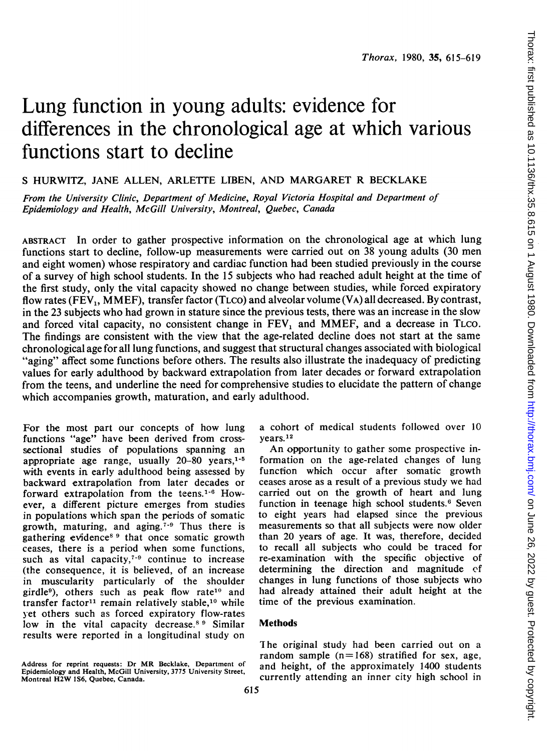# Lung function in young adults: evidence for differences in the chronological age at which various functions start to decline

# <sup>S</sup> HURWITZ, JANE ALLEN, ARLETTE LIBEN, AND MARGARET R BECKLAKE

From the University Clinic, Department of Medicine, Royal Victoria Hospital and Department of Epidemiology and Health, McGill University, Montreal, Quebec, Canada

ABSTRACT In order to gather prospective information on the chronological age at which lung functions start to decline, follow-up measurements were carried out on 38 young adults (30 men and eight women) whose respiratory and cardiac function had been studied previously in the course of a survey of high school students. In the <sup>15</sup> subjects who had reached adult height at the time of the first study, only the vital capacity showed no change between studies, while forced expiratory flow rates (FEV<sub>1</sub>, MMEF), transfer factor (TLCO) and alveolar volume (VA) all decreased. By contrast, in the 23 subjects who had grown in stature since the previous tests, there was an increase in the slow and forced vital capacity, no consistent change in  $FEV_1$  and MMEF, and a decrease in TLCO. The findings are consistent with the view that the age-related decline does not start at the same chronological age for all lung functions, and suggest that structural changes associated with biological "aging" affect some functions before others. The results also illustrate the inadequacy of predicting values for early adulthood by backward extrapolation from later decades or forward extrapolation from the teens, and underline the need for comprehensive studies to elucidate the pattern of change which accompanies growth, maturation, and early adulthood.

For the most part our concepts of how lung functions "age" have been derived from crosssectional studies of populations spanning an appropriate age range, usually  $20-80$  years,<sup> $1-5$ </sup> with events in early adulthood being assessed by backward extrapolation from later decades or forward extrapolation from the teens.'-6 However, a different picture emerges from studies in populations which span the periods of somatic growth, maturing, and aging.<sup> $7-9$ </sup> Thus there is gathering evidence<sup>8 9</sup> that once somatic growth ceases, there is a period when some functions, such as vital capacity, $7-9$  continue to increase (the consequence, it is believed, of an increase in muscularity particularly of the shoulder girdle<sup>9</sup>), others such as peak flow rate<sup>10</sup> and transfer factor<sup>11</sup> remain relatively stable,<sup>10</sup> while yet others such as forced expiratory flow-rates low in the vital capacity decrease.<sup>8 9</sup> Similar results were reported in a longitudinal study on

Address for reprint requests: Dr MR Becklake, Department of Epidemiology and Health, McGill University, 3775 University Street, Montreal H2W IS6, Quebec, Canada.

a cohort of medical students followed over 10 vears.<sup>12</sup>

An opportunity to gather some prospective information on the age-related changes of lung function which occur after somatic growth ceases arose as a result of a previous study we had carried out on the growth of heart and lung function in teenage high school students.<sup>6</sup> Seven to eight years had elapsed since the previous measurements so that all subjects were now older than 20 years of age. It was, therefore, decided to recall all subjects who could be traced for re-examination with the specific objective of determining the direction and magnitude of changes in lung functions of those subjects who had already attained their adult height at the time of the previous examination.

## Methods

The original study had been carried out on a random sample  $(n=168)$  stratified for sex, age, and height, of the approximately 1400 students currently attending an inner city high school in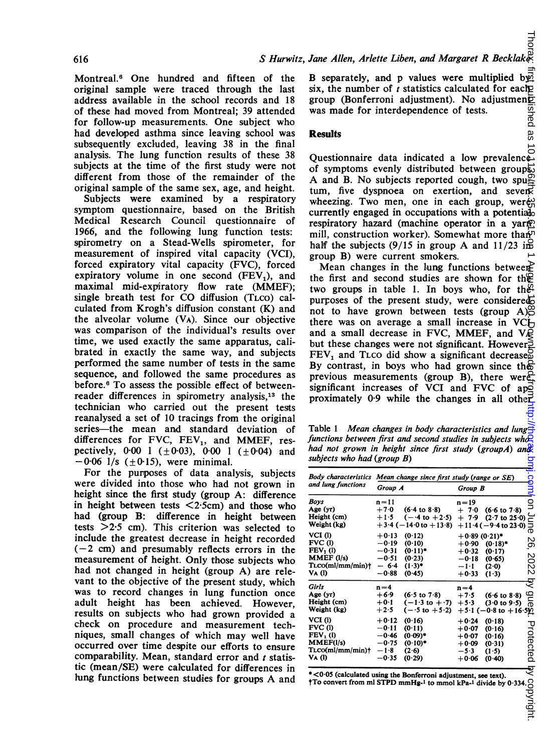Montreal.<sup>6</sup> One hundred and fifteen of the original sample were traced through the last address available in the school records and 18 of these had moved from Montreal; 39 attended for follow-up measurements. One subject who had developed asthma since leaving school was subsequently excluded, leaving 38 in the final analysis. The lung function results of these 38 subjects at the time of the first study were not different from those of the remainder of the original sample of the same sex, age, and height.

Subjects were examined by a respiratory symptom questionnaire, based on the British Medical Research Council questionnaire of 1966, and the following lung function tests: spirometry on a Stead-Wells spirometer, for measurement of inspired vital capacity (VCI), forced expiratory vital capacity (FVC), forced expiratory volume in one second  $(FEV_1)$ , and maximal mid-expiratory flow rate (MMEF); single breath test for CO diffusion (TLCO) calculated from Krogh's diffusion constant (K) and the alveolar volume (VA). Since our objective was comparison of the individual's results over time, we used exactly the same apparatus, calibrated in exactly the same way, and subjects performed the same number of tests in the same sequence, and followed the same procedures as before.<sup>6</sup> To assess the possible effect of betweenreader differences in spirometry analysis,<sup>13</sup> the technician who carried out the present tests reanalysed a set of 10 tracings from the original series-the mean and standard deviation of differences for FVC,  $FEV_1$ , and MMEF, respectively, 0.00 1 ( $\pm$ 0.03), 0.00 1 ( $\pm$ 0.04) and  $-0.06$  1/s ( $\pm 0.15$ ), were minimal.

For the purposes of data analysis, subjects were divided into those who had not grown in height since the first study (group A: difference in height between tests  $\langle 2.5 \text{cm} \rangle$  and those who had (group B: difference in height between tests  $>2.5$  cm). This criterion was selected to include the greatest decrease in height recorded  $(-2$  cm) and presumably reflects errors in the measurement of height. Only those subjects who had not changed in height (group A) are relevant to the objective of the present study, which was to record changes in lung function once adult height has been achieved. However, results on subjects who had grown provided a check on procedure and measurement techniques, small changes of which may well have occurred over time despite our efforts to ensure comparability. Mean, standard error and  $t$  statistic (mean/SE) were calculated for differences in lung functions between studies for groups A and

#### **Results**

Table 1 Mean changes in body characteristics and lung functions between first and second studies in subjects who had not grown in height since first study (groupA) and subjects who had (group B)

|                                                                     | Jane Allen, Arlette Liben, and Margaret R Becklakes                                                                                                                                                                                                                                                                                                                                                                                                                                                                                                                                                                                                                                                                                                                                                                                                                                                                                                                                                         |                                                                                                                                                                                                                   |             |
|---------------------------------------------------------------------|-------------------------------------------------------------------------------------------------------------------------------------------------------------------------------------------------------------------------------------------------------------------------------------------------------------------------------------------------------------------------------------------------------------------------------------------------------------------------------------------------------------------------------------------------------------------------------------------------------------------------------------------------------------------------------------------------------------------------------------------------------------------------------------------------------------------------------------------------------------------------------------------------------------------------------------------------------------------------------------------------------------|-------------------------------------------------------------------------------------------------------------------------------------------------------------------------------------------------------------------|-------------|
|                                                                     | B separately, and p values were multiplied by<br>six, the number of $t$ statistics calculated for each $p$<br>group (Bonferroni adjustment). No adjustment<br>was made for interdependence of tests.                                                                                                                                                                                                                                                                                                                                                                                                                                                                                                                                                                                                                                                                                                                                                                                                        |                                                                                                                                                                                                                   | w<br>ಠ      |
| <b>Results</b>                                                      |                                                                                                                                                                                                                                                                                                                                                                                                                                                                                                                                                                                                                                                                                                                                                                                                                                                                                                                                                                                                             |                                                                                                                                                                                                                   | 88          |
|                                                                     | Questionnaire data indicated a low prevalence.<br>of symptoms evenly distributed between groups.<br>A and B. No subjects reported cough, two spugn<br>tum, five dyspnoea on exertion, and sever<br>wheezing. Two men, one in each group, were<br>currently engaged in occupations with a potential<br>respiratory hazard (machine operator in a yarm<br>mill, construction worker). Somewhat more than<br>half the subjects $(9/15$ in group A and $11/23$ ing<br>group B) were current smokers.<br>Mean changes in the lung functions between<br>the first and second studies are shown for the<br>two groups in table 1. In boys who, for the<br>purposes of the present study, were considered<br>not to have grown between tests (group $A\$ _{\mathbb{C}}^{\mathbb{C}}<br>there was on average a small increase in $VC+$<br>and a small decrease in FVC, MMEF, and V $\bigotimes$<br>but these changes were not significant. However<br>$FEV1$ and TLCO did show a significant decrease $\overline{S}$ | By contrast, in boys who had grown since the                                                                                                                                                                      |             |
|                                                                     | previous measurements (group B), there were<br>significant increases of VCI and FVC of applying proximately 0.9 while the changes in all other                                                                                                                                                                                                                                                                                                                                                                                                                                                                                                                                                                                                                                                                                                                                                                                                                                                              |                                                                                                                                                                                                                   |             |
| subjects who had (group B)                                          | Table 1 Mean changes in body characteristics and lung<br>functions between first and second studies in subjects wh $\overline{Q}$<br>had not grown in height since first study (groupA) and                                                                                                                                                                                                                                                                                                                                                                                                                                                                                                                                                                                                                                                                                                                                                                                                                 |                                                                                                                                                                                                                   |             |
| and lung functions                                                  | Body characteristics Mean change since first study (range or SE)                                                                                                                                                                                                                                                                                                                                                                                                                                                                                                                                                                                                                                                                                                                                                                                                                                                                                                                                            |                                                                                                                                                                                                                   | <u>iooi</u> |
|                                                                     | Group A                                                                                                                                                                                                                                                                                                                                                                                                                                                                                                                                                                                                                                                                                                                                                                                                                                                                                                                                                                                                     | Group B                                                                                                                                                                                                           |             |
| Boys<br>Age (yr)<br>Height (cm)<br>Weight (kg)<br>VCI(I)<br>FVC(l)  | $n=11$<br>$+7.0$<br>$+1.5$<br>$+3.4$ (-14.0 to +13.8)<br>$+0.13$<br>(0.12)<br>—0∙19<br>(0.10)                                                                                                                                                                                                                                                                                                                                                                                                                                                                                                                                                                                                                                                                                                                                                                                                                                                                                                               | $n = 19$<br>$(6.4 \text{ to } 8.8)$ $+ 7.0$ $(6.6 \text{ to } 7.8)$ $=$<br>$(-4 \text{ to } +2.5)$ $+ 7.9$ $(2.7 \text{ to } 25.0)$<br>$+11.4(-9.4 \text{ to } 23.0)$<br>$+0.89(0.21)$ *<br>$+0.90$<br>$(0.18)$ * | ā<br>Só     |
| $FEV1$ (l)<br>MMEF (l/s)<br>$T_{\text{LCO}}(ml/mm/min)$ †<br>VA (I) | $(0.11)^*$<br>$-0.31$<br>−0.51<br>(0.23)<br>- 64<br>$(1.3)^*$<br>$-0.88$<br>(0.45)                                                                                                                                                                                                                                                                                                                                                                                                                                                                                                                                                                                                                                                                                                                                                                                                                                                                                                                          | $+0.32$<br>(0.17)<br>—0∙18<br>(0.65)<br>$-1.1$<br>(2.0)<br>$+0.33$                                                                                                                                                | 22          |
|                                                                     |                                                                                                                                                                                                                                                                                                                                                                                                                                                                                                                                                                                                                                                                                                                                                                                                                                                                                                                                                                                                             | (1.3)                                                                                                                                                                                                             | ड्          |
| Girls<br>Age (yr)<br>Height (cm)<br>Weight (kg)                     | $n=4$<br>$+6.9$<br>$(6.5 \text{ to } 7.8)$<br>$+0.1$<br>$(-1.3 \text{ to } +.7)$<br>$+2.5$<br>$(-5$ to $+5.2)$                                                                                                                                                                                                                                                                                                                                                                                                                                                                                                                                                                                                                                                                                                                                                                                                                                                                                              | $n=4$<br>$+7.5$<br>$(6.6 \text{ to } 8.8)$<br>$+5.3$<br>$(3.0 \text{ to } 9.5)$                                                                                                                                   | ane.        |
| VCI (1)<br>FVC(1)<br>$FEV1$ (l)                                     | $+0.12$<br>(0.16)<br>−0∙11<br>(0.11)<br>−0∙46<br>$(0.09)$ *                                                                                                                                                                                                                                                                                                                                                                                                                                                                                                                                                                                                                                                                                                                                                                                                                                                                                                                                                 | $+5.1$ (-0.8 to $+16.5$ )<br>$+0.24$<br>(0.18)<br>$+0.07$<br>(0.16)<br>$+0.07$<br>(0.16)                                                                                                                          | ⊻           |
| MMEF(1/s)<br>$T_{LCO}(ml/mm/min)$ †<br>Va (l)                       | $-0.75$<br>$(0.10)$ *<br>$-1.8$<br>(2.6)<br>$-0.35$<br>(0.29)                                                                                                                                                                                                                                                                                                                                                                                                                                                                                                                                                                                                                                                                                                                                                                                                                                                                                                                                               | $+0.09$<br>(0.31)<br>$-5.3$<br>(1.5)<br>+0.06<br>(0.40)                                                                                                                                                           | otected     |
|                                                                     | *<0.05 (calculated using the Bonferroni adjustment, see text).                                                                                                                                                                                                                                                                                                                                                                                                                                                                                                                                                                                                                                                                                                                                                                                                                                                                                                                                              |                                                                                                                                                                                                                   | হ           |
|                                                                     |                                                                                                                                                                                                                                                                                                                                                                                                                                                                                                                                                                                                                                                                                                                                                                                                                                                                                                                                                                                                             |                                                                                                                                                                                                                   |             |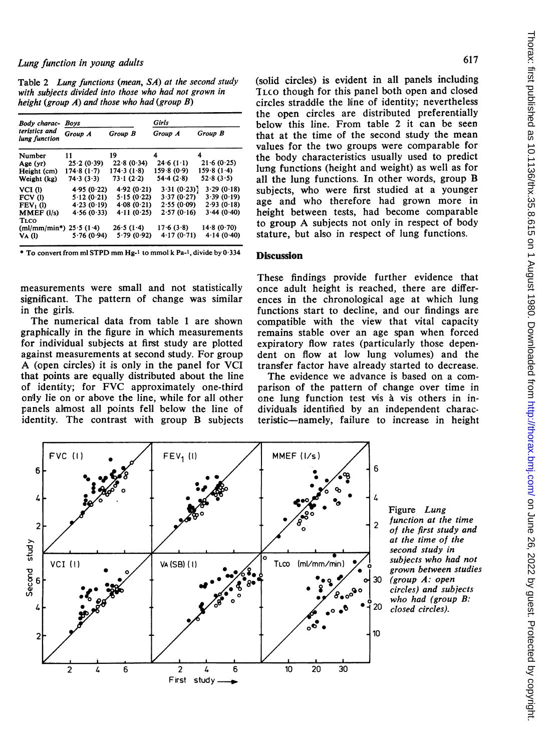Table 2 Lung functions (mean, SA) at the second study with subjects divided into those who had not grown in height (group A) and those who had (group B)

| Body charac-<br>teristics and<br>lung function | Boys       |            |            | Girls      |  |
|------------------------------------------------|------------|------------|------------|------------|--|
|                                                | Group A    | Group B    | Group A    | Group B    |  |
| Number                                         | 11         | 19         | 4          | 4          |  |
| Age (yr)                                       | 25.2(0.39) | 22.8(0.34) | 24.6(1.1)  | 21.6(0.25) |  |
| Height (cm)                                    | 174.8(1.7) | 174.3(1.8) | 159.8(0.9) | 159.8(1.4) |  |
| Weight (kg)                                    | 74.3(3.3)  | 73.1(2.2)  | 54.4(2.8)  | 52.8(3.5)  |  |
| VCI(I)                                         | 4.95(0.22) | 4.92(0.21) | 3.31(0.23) | 3.29(0.18) |  |
| FCV(I)                                         | 5.12(0.21) | 5.15(0.22) | 3.37(0.27) | 3.39(0.19) |  |
| $FEV1$ (l)                                     | 4.23(0.19) | 4.08(0.21) | 2.55(0.09) | 2.93(0.18) |  |
| MMEF (l/s)<br><b>TLCO</b>                      | 4.56(0.33) | 4.11(0.25) | 2.57(0.16) | 3.44(0.40) |  |
| (ml/mm/min*) $25.5$ (1.4)                      |            | 26.5(1.4)  | 17.6(3.8)  | 14.8(0.70) |  |
| VA (l)                                         | 5.76(0.94) | 5.79(0.92) | 4.17(0.71) | 4.14(0.40) |  |

\* To convert from ml STPD mm Hg-i to mmol <sup>k</sup> Pa-l, divide by 0-334

measurements were small and not statistically significant. The pattern of change was similar in the girls.

The numerical data from table 1 are shown graphically in the figure in which measurements for individual subjects at first study are plotted against measurements at second study. For group A (open circles) it is only in the panel for VCI that points are equally distributed about the line of identity; for FVC approximately one-third only lie on or above the line, while for all other panels almost all points fell below the line of identity. The contrast with group B subjects (solid circles) is evident in all panels including ILCO though for this panel both open and closed circles straddle the line of identity; nevertheless the open circles are distributed preferentially below this line. From table 2 it can be seen that at the time of the second study the mean values for the two groups were comparable for the body characteristics usually used to predict lung functions (height and weight) as well as for all the lung functions. In other words, group B subjects, who were first studied at a younger age and who therefore had grown more in height between tests, had become comparable to group A subjects not only in respect of body stature, but also in respect of lung functions.

## **Discussion**

These findings provide further evidence that once adult height is reached, there are differences in the chronological age at which lung functions start to decline, and our findings are compatible with the view that vital capacity remains stable over an age span when forced expiratory flow rates (particularly those dependent on flow at low lung volumes) and the transfer factor have already started to decrease.

The evidence we advance is based on a comparison of the pattern of change over time in one lung function test vis à vis others in individuals identified by an independent characteristic-namely, failure to increase in height



Figure Lung function at the time of the first study and at the time of the<br>second study in grown between studies<br>30 (group  $A$ : open  $\begin{array}{cc}\n\bullet^{\circ} & \text{circless} \\
\bullet^{\circ} & \text{who had (group B:})\n\end{array}$ closed circles).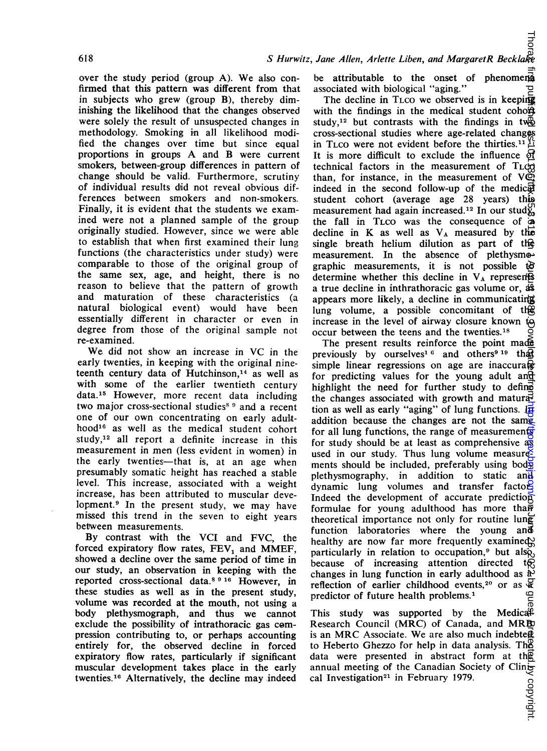over the study period (group A). We also confirmed that this pattern was different from that in subjects who grew (group B), thereby diminishing the likelihood that the changes observed were solely the result of unsuspected changes in methodology. Smoking in all likelihood modified the changes over time but since equal proportions in groups A and B were current smokers, between-group differences in pattern of change should be valid. Furthermore, scrutiny of individual results did not reveal obvious differences between smokers and non-smokers. Finally, it is evident that the students we examined were not a planned sample of the group originally studied. However, since we were able to establish that when first examined their lung functions (the characteristics under study) were comparable to those of the original group of the same sex, age, and height, there is no reason to believe that the pattern of growth and maturation of these characteristics (a natural biological event) would have been essentially different in character or even in degree from those of the original sample not re-examined.

We did not show an increase in VC in the early twenties, in keeping with the original nineteenth century data of Hutchinson,<sup>14</sup> as well as with some of the earlier twentieth century data.'5 However, more recent data including two major cross-sectional studies<sup>8</sup> 9 and a recent one of our own concentrating on early adulthood<sup>16</sup> as well as the medical student cohort study,<sup>12</sup> all report a definite increase in this measurement in men (less evident in women) in the early twenties-that is, at an age when presumably somatic height has reached a stable level. This increase, associated with a weight increase, has been attributed to muscular development.9 In the present study, we may have missed this trend in the seven to eight years between measurements.

By contrast with the VCI and FVC, the forced expiratory flow rates, FEV<sub>1</sub> and MMEF, showed a decline over the same period of time in our study, an observation in keeping with the reported cross-sectional data.8 <sup>9</sup> <sup>16</sup> However, in these studies as well as in the present study, volume was recorded at the mouth, not using a body plethysmograph, and thus we cannot exclude the possibility of intrathoracic gas compression contributing to, or perhaps accounting entirely for, the observed decline in forced expiratory flow rates, particularly if significant muscular development takes place in the early twenties.<sup>16</sup> Alternatively, the decline may indeed

be attributable to the onset of phenomena associated with biological "aging."

The decline in TLCO we observed is in keeping with the findings in the medical student coho $\overline{\mathbf{A}}$ study,<sup>12</sup> but contrasts with the findings in two cross-sectional studies where age-related changes in TLCO were not evident before the thirties.<sup>11</sup><sup>17</sup> It is more difficult to exclude the influence  $\Theta$ technical factors in the measurement of  $T<sub>L</sub>$ than, for instance, in the measurement of  $V\bar{\mathbb{Q}}$ indeed in the second follow-up of the medic $\overline{a}$ student cohort (average age 28 years) this measurement had again increased.<sup>12</sup> In our study, the fall in TLCO was the consequence of  $\ddot{\hat{\phi}}$ decline in K as well as  $V_A$  measured by the single breath helium dilution as part of the measurement. In the absence of plethysmographic measurements, it is not possible  $\mathbb{B}$ determine whether this decline in  $V_A$  represents a true decline in inthrathoracic gas volume or,  $\overline{dS}$ appears more likely, a decline in communicating lung volume, a possible concomitant of the increase in the level of airway closure known  $t\ddot{q}$ occur between the teens and the twenties.18

on Groen By growth Protected by Groen By Copyright. Published as 10.1131 published as 10.1136. August 1980. Downloaded from the 1136. First published as 10.1130. Downloaded from the 1980. Downloaded from the 1980. Download The present results reinforce the point made previously by ourselves<sup>1 6</sup> and others<sup>9 19</sup> that simple linear regressions on age are inaccura $\mathbb{\mathbb{R}}$ for predicting values for the young adult and highlight the need for further study to define the changes associated with growth and maturation as well as early "aging" of lung functions.  $\overrightarrow{H}$ addition because the changes are not the same. for all lung functions, the range of measurements for study should be at least as comprehensive as used in our study. Thus lung volume measurements should be included, preferably using body plethysmography, in addition to static and dynamic lung volumes and transfer factors Indeed the development of accurate prediction formulae for young adulthood has more than theoretical importance not only for routine lung function laboratories where the young and healthy are now far more frequently examined particularly in relation to occupation,<sup>9</sup> but also, because of increasing attention directed  $t_{\mathcal{R}}$ changes in lung function in early adulthood as  $\ddot{a}$ reflection of earlier childhood events,<sup>20</sup> or as  $\frac{1}{2}$  or detection of future health problems.<sup>1</sup> predictor of future health problems.<sup>1</sup> 등

This study was supported by the Medicall Research Council (MRC) of Canada, and MRB is an MRC Associate. We are also much indebte $\underline{\phi}$ to Heberto Ghezzo for help in data analysis. The data were presented in abstract form at the annual meeting of the Canadian Society of Clinical Investigation<sup>21</sup> in February 1979.